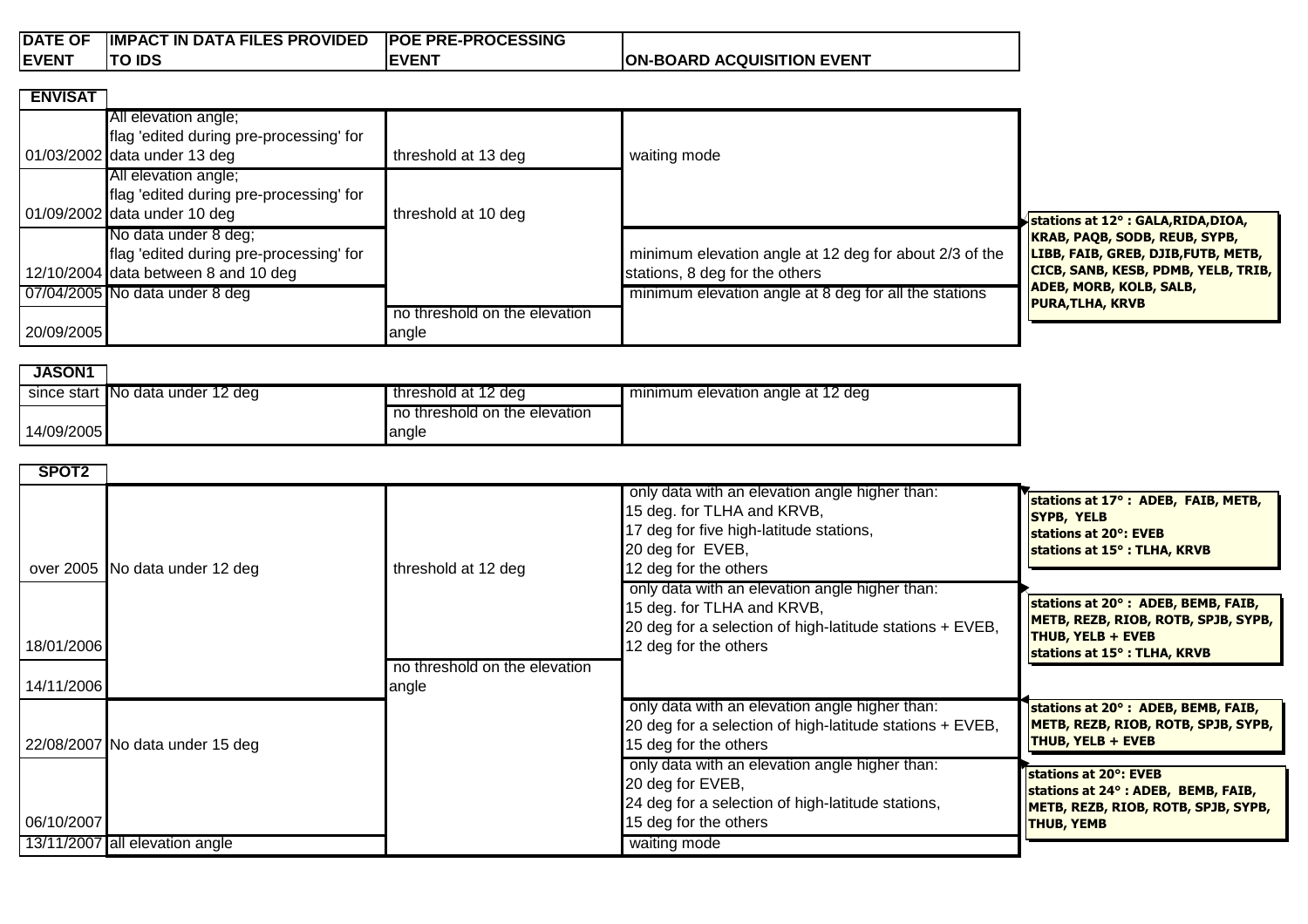| <b>DATE OF</b> | <b>IMPACT IN DATA FILES PROVIDED</b> | <b>POE PRE-PROCESSING</b> |                                   |
|----------------|--------------------------------------|---------------------------|-----------------------------------|
| <b>IEVENT</b>  | <b>TO IDS</b>                        | <b>EVENT</b>              | <b>ON-BOARD ACQUISITION EVENT</b> |

| <b>ENVISAT</b> |                                                                         |                               |                                                        |                                                                       |
|----------------|-------------------------------------------------------------------------|-------------------------------|--------------------------------------------------------|-----------------------------------------------------------------------|
|                | All elevation angle;                                                    |                               |                                                        |                                                                       |
|                | flag 'edited during pre-processing' for<br>01/03/2002 data under 13 deg | threshold at 13 deg           | waiting mode                                           |                                                                       |
|                | All elevation angle;                                                    |                               |                                                        |                                                                       |
|                | flag 'edited during pre-processing' for                                 |                               |                                                        |                                                                       |
|                | 01/09/2002 data under 10 deg                                            | threshold at 10 deg           |                                                        | stations at 12° : GALA, RIDA, DIOA,                                   |
|                | No data under 8 deg;                                                    |                               |                                                        | <b>KRAB, PAQB, SODB, REUB, SYPB,</b>                                  |
|                | flag 'edited during pre-processing' for                                 |                               | minimum elevation angle at 12 deg for about 2/3 of the | LIBB, FAIB, GREB, DJIB, FUTB, METB,                                   |
|                | 12/10/2004 data between 8 and 10 deg                                    |                               | stations, 8 deg for the others                         | CICB, SANB, KESB, PDMB, YELB, TRIB,<br><b>ADEB, MORB, KOLB, SALB,</b> |
|                | 07/04/2005 No data under 8 deg                                          |                               | minimum elevation angle at 8 deg for all the stations  | <b>PURA, TLHA, KRVB</b>                                               |
|                |                                                                         | no threshold on the elevation |                                                        |                                                                       |
| 20/09/2005     |                                                                         | angle                         |                                                        |                                                                       |

| <b>JASON1</b> |                                  |                               |                                   |  |
|---------------|----------------------------------|-------------------------------|-----------------------------------|--|
|               | since start No data under 12 deg | threshold at 12 deg           | minimum elevation angle at 12 deg |  |
|               |                                  | no threshold on the elevation |                                   |  |
| 14/09/2005    |                                  | langle                        |                                   |  |

| SPOT <sub>2</sub> |                                 |                                        |                                                                                                                                                                      |                                                                                                                                      |
|-------------------|---------------------------------|----------------------------------------|----------------------------------------------------------------------------------------------------------------------------------------------------------------------|--------------------------------------------------------------------------------------------------------------------------------------|
|                   | over 2005 No data under 12 deg  | threshold at 12 deg                    | only data with an elevation angle higher than:<br>15 deg. for TLHA and KRVB,<br>17 deg for five high-latitude stations,<br>20 deg for EVEB,<br>12 deg for the others | stations at 17°: ADEB, FAIB, METB,<br>SYPB, YELB<br>stations at 20°: EVEB<br>stations at 15°: TLHA, KRVB                             |
| 18/01/2006        |                                 |                                        | only data with an elevation angle higher than:<br>15 deg. for TLHA and KRVB,<br>20 deg for a selection of high-latitude stations + EVEB,<br>12 deg for the others    | stations at 20°: ADEB, BEMB, FAIB,<br>METB, REZB, RIOB, ROTB, SPJB, SYPB,<br><b>THUB, YELB + EVEB</b><br>stations at 15°: TLHA, KRVB |
| 14/11/2006        |                                 | no threshold on the elevation<br>angle |                                                                                                                                                                      |                                                                                                                                      |
|                   | 22/08/2007 No data under 15 deg |                                        | only data with an elevation angle higher than:<br>20 deg for a selection of high-latitude stations + EVEB,<br>15 deg for the others                                  | stations at 20°: ADEB, BEMB, FAIB,<br>METB, REZB, RIOB, ROTB, SPJB, SYPB,<br><b>THUB, YELB + EVEB</b>                                |
| 06/10/2007        |                                 |                                        | only data with an elevation angle higher than:<br>20 deg for EVEB,<br>24 deg for a selection of high-latitude stations,<br>15 deg for the others                     | stations at 20°: EVEB<br>stations at 24°: ADEB, BEMB, FAIB,<br>METB, REZB, RIOB, ROTB, SPJB, SYPB,<br><b>THUB, YEMB</b>              |
|                   | 13/11/2007 all elevation angle  |                                        | waiting mode                                                                                                                                                         |                                                                                                                                      |